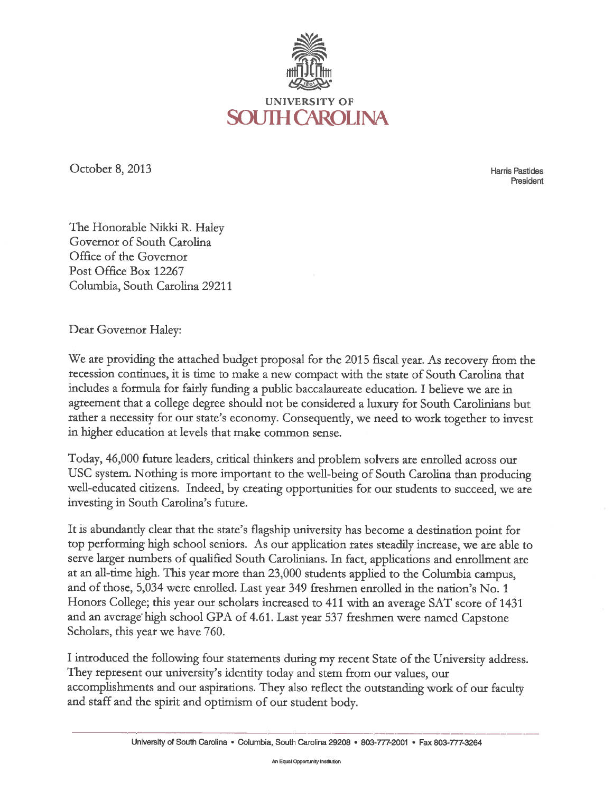

October 8, 2013

**Harris Pastides** President

The Honorable Nikki R. Haley Governor of South Carolina Office of the Governor Post Office Box 12267 Columbia, South Carolina 29211

Dear Governor Haley:

We are providing the attached budget proposal for the 2015 fiscal year. As recovery from the recession continues, it is time to make a new compact with the state of South Carolina that includes a formula for fairly funding a public baccalaureate education. I believe we are in agreement that a college degree should not be considered a luxury for South Carolinians but rather a necessity for our state's economy. Consequently, we need to work together to invest in higher education at levels that make common sense.

Today, 46,000 future leaders, critical thinkers and problem solvers are enrolled across our USC system. Nothing is more important to the well-being of South Carolina than producing well-educated citizens. Indeed, by creating opportunities for our students to succeed, we are investing in South Carolina's future.

It is abundantly clear that the state's flagship university has become a destination point for top performing high school seniors. As our application rates steadily increase, we are able to serve larger numbers of qualified South Carolinians. In fact, applications and enrollment are at an all-time high. This year more than 23,000 students applied to the Columbia campus, and of those, 5,034 were enrolled. Last year 349 freshmen enrolled in the nation's No. 1 Honors College; this year our scholars increased to 411 with an average SAT score of 1431 and an average high school GPA of 4.61. Last year 537 freshmen were named Capstone Scholars, this year we have 760.

I introduced the following four statements during my recent State of the University address. They represent our university's identity today and stem from our values, our accomplishments and our aspirations. They also reflect the outstanding work of our faculty and staff and the spirit and optimism of our student body.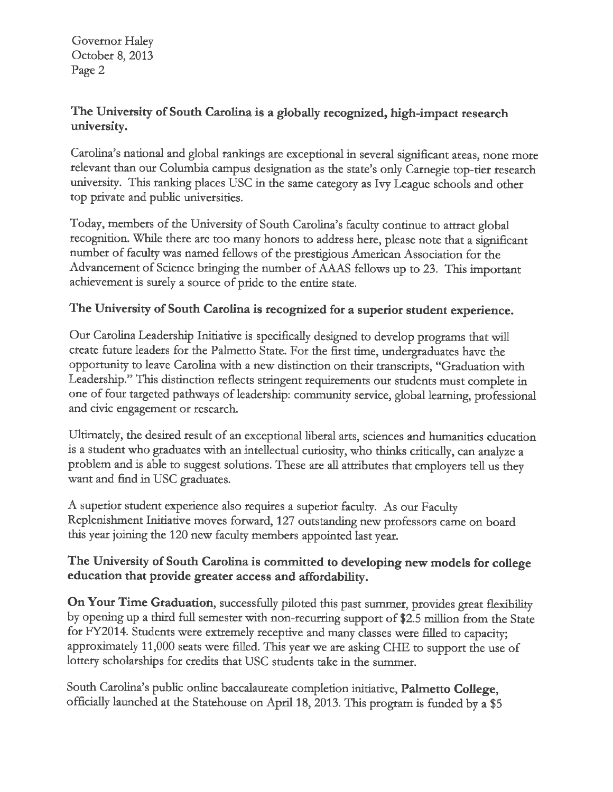Governor Haley October 8, 2013 Page 2

### The University of South Carolina is a globally recognized, high-impact research university.

Carolina's national and global rankings are exceptional in several significant areas, none more relevant than our Columbia campus designation as the state's only Carnegie top-tier research university. This ranking places USC in the same category as Ivy League schools and other top private and public universities.

Today, members of the University of South Carolina's faculty continue to attract global recognition. While there are too many honors to address here, please note that a significant number of faculty was named fellows of the prestigious American Association for the Advancement of Science bringing the number of AAAS fellows up to 23. This important achievement is surely a source of pride to the entire state.

#### The University of South Carolina is recognized for a superior student experience.

Our Carolina Leadership Initiative is specifically designed to develop programs that will create future leaders for the Palmetto State. For the first time, undergraduates have the opportunity to leave Carolina with a new distinction on their transcripts, "Graduation with Leadership." This distinction reflects stringent requirements our students must complete in one of four targeted pathways of leadership: community service, global learning, professional and civic engagement or research.

Ultimately, the desired result of an exceptional liberal arts, sciences and humanities education is a student who graduates with an intellectual curiosity, who thinks critically, can analyze a problem and is able to suggest solutions. These are all attributes that employers tell us they want and find in USC graduates.

A superior student experience also requires a superior faculty. As our Faculty Replenishment Initiative moves forward, 127 outstanding new professors came on board this year joining the 120 new faculty members appointed last year.

#### The University of South Carolina is committed to developing new models for college education that provide greater access and affordability.

On Your Time Graduation, successfully piloted this past summer, provides great flexibility by opening up a third full semester with non-recurring support of \$2.5 million from the State for FY2014. Students were extremely receptive and many classes were filled to capacity; approximately 11,000 seats were filled. This year we are asking CHE to support the use of lottery scholarships for credits that USC students take in the summer.

South Carolina's public online baccalaureate completion initiative, Palmetto College, officially launched at the Statehouse on April 18, 2013. This program is funded by a \$5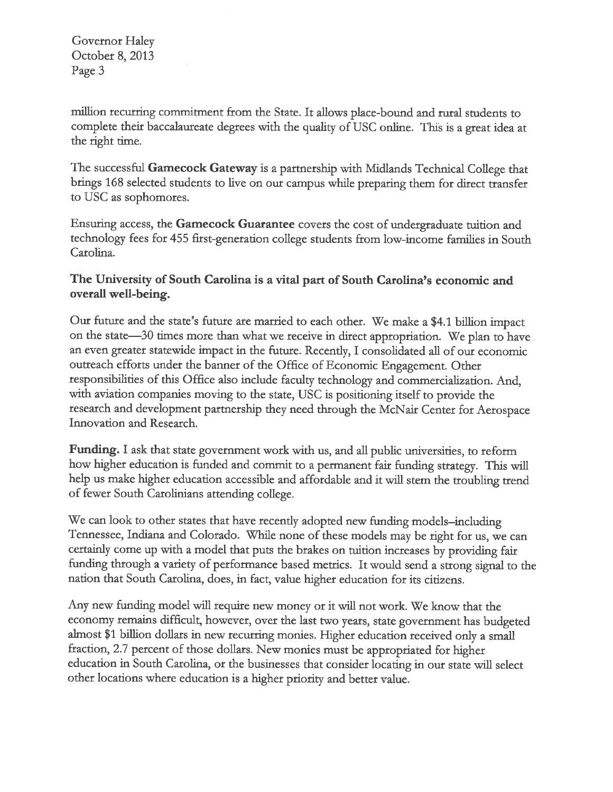Governor Haley October 8, 2013 Page 3

million recurring commitment from the State. It allows place-bound and rural students to complete their baccalaureate degrees with the quality of USC online. This is a great idea at the right time.

The successful Gamecock Gateway is a partnership with Midlands Technical College that brings 168 selected students to live on our campus while preparing them for direct transfer to USC as sophomores.

Ensuring access, the Gamecock Guarantee covers the cost of undergraduate tuition and technology fees for 455 first-generation college students from low-income families in South Carolina.

#### The University of South Carolina is a vital part of South Carolina's economic and overall well-being.

Our future and the state's future are married to each other. We make a \$4.1 billion impact on the state-30 times more than what we receive in direct appropriation. We plan to have an even greater statewide impact in the future. Recently, I consolidated all of our economic outreach efforts under the banner of the Office of Economic Engagement. Other responsibilities of this Office also include faculty technology and commercialization. And, with aviation companies moving to the state, USC is positioning itself to provide the research and development partnership they need through the McNair Center for Aerospace Innovation and Research.

**Funding.** I ask that state government work with us, and all public universities, to reform how higher education is funded and commit to a permanent fair funding strategy. This will help us make higher education accessible and affordable and it will stem the troubling trend of fewer South Carolinians attending college.

We can look to other states that have recently adopted new funding models-including Tennessee, Indiana and Colorado. While none of these models may be right for us, we can certainly come up with a model that puts the brakes on tuition increases by providing fair funding through a variety of performance based metrics. It would send a strong signal to the nation that South Carolina, does, in fact, value higher education for its citizens.

Any new funding model will require new money or it will not work. We know that the economy remains difficult, however, over the last two years, state government has budgeted almost \$1 billion dollars in new recurring monies. Higher education received only a small fraction, 2.7 percent of those dollars. New monies must be appropriated for higher education in South Carolina, or the businesses that consider locating in our state will select other locations where education is a higher priority and better value.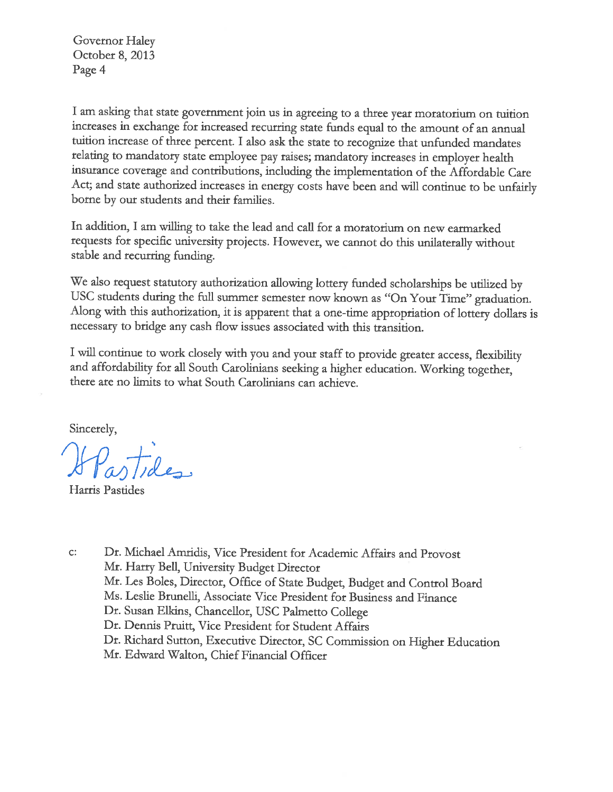Governor Haley October 8, 2013 Page 4

I am asking that state government join us in agreeing to a three year moratorium on tuition increases in exchange for increased recurring state funds equal to the amount of an annual tuition increase of three percent. I also ask the state to recognize that unfunded mandates relating to mandatory state employee pay raises; mandatory increases in employer health insurance coverage and contributions, including the implementation of the Affordable Care Act; and state authorized increases in energy costs have been and will continue to be unfairly borne by our students and their families.

In addition, I am willing to take the lead and call for a moratorium on new earmarked requests for specific university projects. However, we cannot do this unilaterally without stable and recurring funding.

We also request statutory authorization allowing lottery funded scholarships be utilized by USC students during the full summer semester now known as "On Your Time" graduation. Along with this authorization, it is apparent that a one-time appropriation of lottery dollars is necessary to bridge any cash flow issues associated with this transition.

I will continue to work closely with you and your staff to provide greater access, flexibility and affordability for all South Carolinians seeking a higher education. Working together, there are no limits to what South Carolinians can achieve.

Sincerely,

Partides

Harris Pastides

Dr. Michael Amridis, Vice President for Academic Affairs and Provost  $C:$ Mr. Harry Bell, University Budget Director Mr. Les Boles, Director, Office of State Budget, Budget and Control Board Ms. Leslie Brunelli, Associate Vice President for Business and Finance Dr. Susan Elkins, Chancellor, USC Palmetto College Dr. Dennis Pruitt, Vice President for Student Affairs Dr. Richard Sutton, Executive Director, SC Commission on Higher Education Mr. Edward Walton, Chief Financial Officer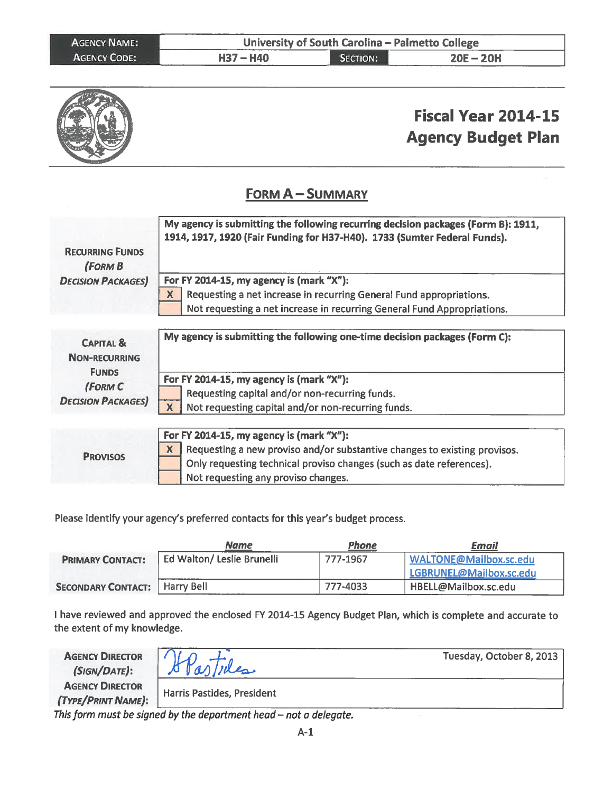| <b>AGENCY NAME:</b> | University of South Carolina - Palmetto College |          |             |
|---------------------|-------------------------------------------------|----------|-------------|
| <b>AGENCY CODE:</b> | $H37 - H40$                                     | SECTION: | $20E - 20H$ |

|                                                              | <b>Fiscal Year 2014-15</b><br><b>Agency Budget Plan</b>                                                                                                                                                                                   |
|--------------------------------------------------------------|-------------------------------------------------------------------------------------------------------------------------------------------------------------------------------------------------------------------------------------------|
|                                                              | <b>FORM A - SUMMARY</b>                                                                                                                                                                                                                   |
| <b>RECURRING FUNDS</b><br><b>(FORM B</b>                     | My agency is submitting the following recurring decision packages (Form B): 1911,<br>1914, 1917, 1920 (Fair Funding for H37-H40). 1733 (Sumter Federal Funds).                                                                            |
| <b>DECISION PACKAGES</b>                                     | For FY 2014-15, my agency is (mark "X"):<br>Requesting a net increase in recurring General Fund appropriations.<br>X<br>Not requesting a net increase in recurring General Fund Appropriations.                                           |
| <b>CAPITAL &amp;</b><br><b>NON-RECURRING</b><br><b>FUNDS</b> | My agency is submitting the following one-time decision packages (Form C):                                                                                                                                                                |
| (FORM C<br><b>DECISION PACKAGES</b>                          | For FY 2014-15, my agency is (mark "X"):<br>Requesting capital and/or non-recurring funds.<br>$\overline{\mathbf{X}}$<br>Not requesting capital and/or non-recurring funds.                                                               |
| <b>PROVISOS</b>                                              | For FY 2014-15, my agency is (mark "X"):<br>Requesting a new proviso and/or substantive changes to existing provisos.<br>X<br>Only requesting technical proviso changes (such as date references).<br>Not requesting any proviso changes. |

Please identify your agency's preferred contacts for this year's budget process.

|                                        | <u>Name</u>                | Phone    | Email                   |
|----------------------------------------|----------------------------|----------|-------------------------|
| <b>PRIMARY CONTACT:</b>                | Ed Walton/ Leslie Brunelli | 777-1967 | WALTONE@Mailbox.sc.edu  |
|                                        |                            |          | LGBRUNEL@Mailbox.sc.edu |
| <b>SECONDARY CONTACT:</b>   Harry Bell |                            | 777-4033 | HBELL@Mailbox.sc.edu    |

I have reviewed and approved the enclosed FY 2014-15 Agency Budget Plan, which is complete and accurate to the extent of my knowledge.

**AGENCY DIRECTOR** (SIGN/DATE): **AGENCY DIRECTOR** (TYPE/PRINT NAME):

Teles

Tuesday, October 8, 2013

Harris Pastides, President

This form must be signed by the department head  $-$  not a delegate.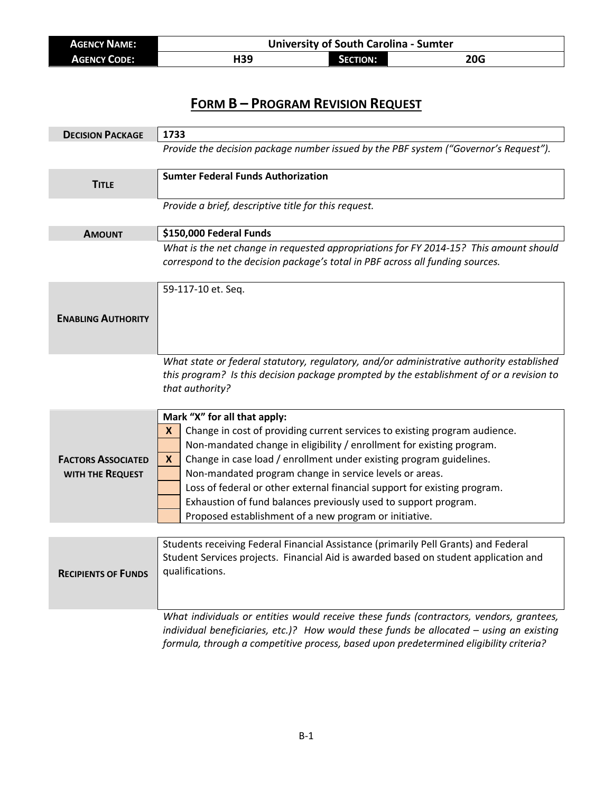| <b>AGENCY NAME:</b> | <b>University of South Carolina - Sumter</b> |          |     |
|---------------------|----------------------------------------------|----------|-----|
| <b>AGENCY CODE:</b> | H39                                          | SECTION: | 20G |

# **FORM B – PROGRAM REVISION REQUEST**

| <b>DECISION PACKAGE</b>                       | 1733                                                                                                                                                                                                                                                                                                                                                                                                                                                                            |  |
|-----------------------------------------------|---------------------------------------------------------------------------------------------------------------------------------------------------------------------------------------------------------------------------------------------------------------------------------------------------------------------------------------------------------------------------------------------------------------------------------------------------------------------------------|--|
|                                               | Provide the decision package number issued by the PBF system ("Governor's Request").                                                                                                                                                                                                                                                                                                                                                                                            |  |
| <b>TITLE</b>                                  | <b>Sumter Federal Funds Authorization</b>                                                                                                                                                                                                                                                                                                                                                                                                                                       |  |
|                                               | Provide a brief, descriptive title for this request.                                                                                                                                                                                                                                                                                                                                                                                                                            |  |
| <b>AMOUNT</b>                                 | \$150,000 Federal Funds                                                                                                                                                                                                                                                                                                                                                                                                                                                         |  |
|                                               | What is the net change in requested appropriations for FY 2014-15? This amount should<br>correspond to the decision package's total in PBF across all funding sources.                                                                                                                                                                                                                                                                                                          |  |
| <b>ENABLING AUTHORITY</b>                     | 59-117-10 et. Seq.                                                                                                                                                                                                                                                                                                                                                                                                                                                              |  |
|                                               | What state or federal statutory, regulatory, and/or administrative authority established                                                                                                                                                                                                                                                                                                                                                                                        |  |
|                                               | this program? Is this decision package prompted by the establishment of or a revision to<br>that authority?                                                                                                                                                                                                                                                                                                                                                                     |  |
| <b>FACTORS ASSOCIATED</b><br>WITH THE REQUEST | Mark "X" for all that apply:<br>Change in cost of providing current services to existing program audience.<br>X<br>Non-mandated change in eligibility / enrollment for existing program.<br>Change in case load / enrollment under existing program guidelines.<br>X<br>Non-mandated program change in service levels or areas.<br>Loss of federal or other external financial support for existing program.<br>Exhaustion of fund balances previously used to support program. |  |
|                                               | Proposed establishment of a new program or initiative.                                                                                                                                                                                                                                                                                                                                                                                                                          |  |
|                                               |                                                                                                                                                                                                                                                                                                                                                                                                                                                                                 |  |
| <b>RECIPIENTS OF FUNDS</b>                    | Students receiving Federal Financial Assistance (primarily Pell Grants) and Federal<br>Student Services projects. Financial Aid is awarded based on student application and<br>qualifications.                                                                                                                                                                                                                                                                                  |  |
|                                               | What individuals or entities would receive these funds (contractors, vendors, grantees,<br>individual beneficiaries, etc.)? How would these funds be allocated - using an existing<br>formula, through a competitive process, based upon predetermined eligibility criteria?                                                                                                                                                                                                    |  |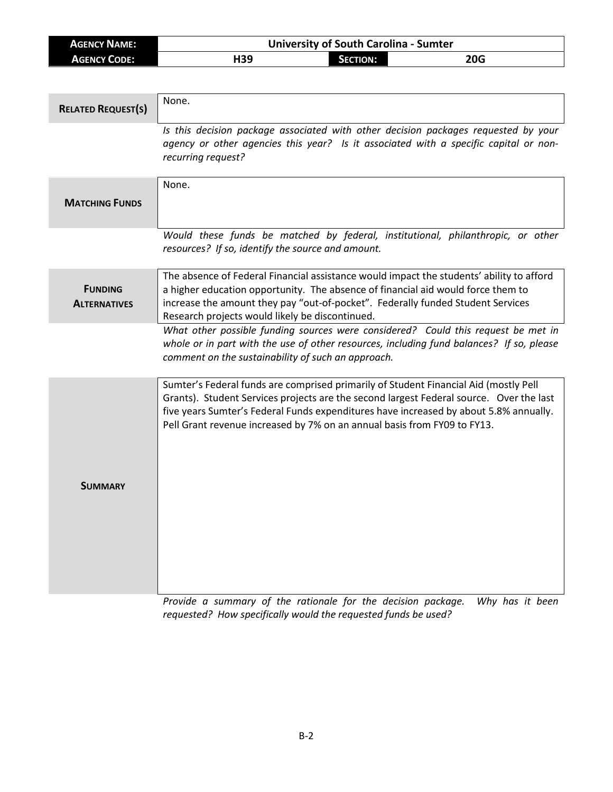| <b>AGENCY NAME:</b> | <b>University of South Carolina - Sumter</b> |                 |            |
|---------------------|----------------------------------------------|-----------------|------------|
| <b>AGENCY CODE:</b> | H39                                          | <b>SECTION:</b> | <b>20G</b> |

| None.                                                                                                                                                                                                                                                                                                                                                |
|------------------------------------------------------------------------------------------------------------------------------------------------------------------------------------------------------------------------------------------------------------------------------------------------------------------------------------------------------|
| Is this decision package associated with other decision packages requested by your<br>agency or other agencies this year? Is it associated with a specific capital or non-<br>recurring request?                                                                                                                                                     |
| None.                                                                                                                                                                                                                                                                                                                                                |
| Would these funds be matched by federal, institutional, philanthropic, or other<br>resources? If so, identify the source and amount.                                                                                                                                                                                                                 |
| The absence of Federal Financial assistance would impact the students' ability to afford<br>a higher education opportunity. The absence of financial aid would force them to<br>increase the amount they pay "out-of-pocket". Federally funded Student Services<br>Research projects would likely be discontinued.                                   |
| What other possible funding sources were considered? Could this request be met in<br>whole or in part with the use of other resources, including fund balances? If so, please<br>comment on the sustainability of such an approach.                                                                                                                  |
| Sumter's Federal funds are comprised primarily of Student Financial Aid (mostly Pell<br>Grants). Student Services projects are the second largest Federal source. Over the last<br>five years Sumter's Federal Funds expenditures have increased by about 5.8% annually.<br>Pell Grant revenue increased by 7% on an annual basis from FY09 to FY13. |
|                                                                                                                                                                                                                                                                                                                                                      |

*Provide a summary of the rationale for the decision package. Why has it been requested? How specifically would the requested funds be used?*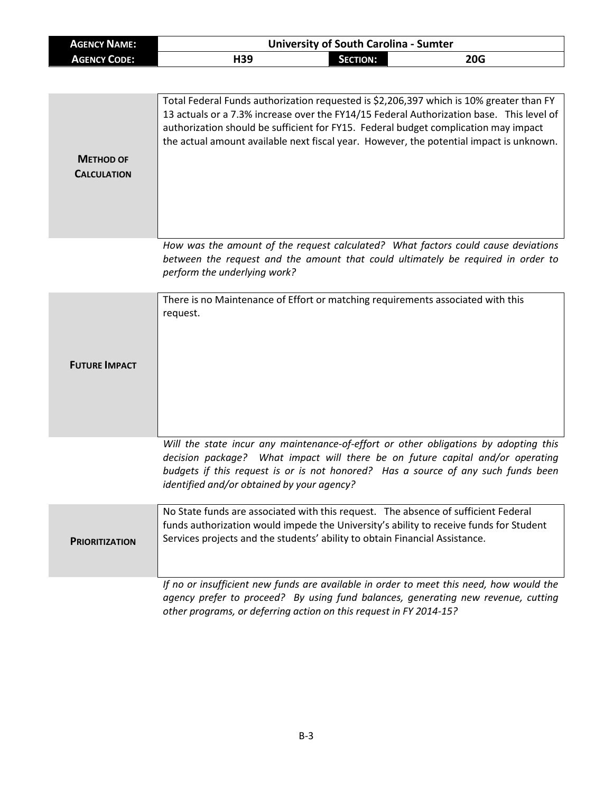| <b>AGENCY NAME:</b> | <b>University of South Carolina - Sumter</b> |            |            |
|---------------------|----------------------------------------------|------------|------------|
| <b>AGENCY CODE:</b> | H39                                          | Section: 1 | <b>20G</b> |

| <b>METHOD OF</b><br><b>CALCULATION</b> | Total Federal Funds authorization requested is \$2,206,397 which is 10% greater than FY<br>13 actuals or a 7.3% increase over the FY14/15 Federal Authorization base. This level of<br>authorization should be sufficient for FY15. Federal budget complication may impact<br>the actual amount available next fiscal year. However, the potential impact is unknown. |
|----------------------------------------|-----------------------------------------------------------------------------------------------------------------------------------------------------------------------------------------------------------------------------------------------------------------------------------------------------------------------------------------------------------------------|
|                                        |                                                                                                                                                                                                                                                                                                                                                                       |
|                                        | How was the amount of the request calculated? What factors could cause deviations<br>between the request and the amount that could ultimately be required in order to<br>perform the underlying work?                                                                                                                                                                 |
|                                        | There is no Maintenance of Effort or matching requirements associated with this<br>request.                                                                                                                                                                                                                                                                           |
| <b>FUTURE IMPACT</b>                   |                                                                                                                                                                                                                                                                                                                                                                       |

*Will the state incur any maintenance-of-effort or other obligations by adopting this decision package? What impact will there be on future capital and/or operating budgets if this request is or is not honored? Has a source of any such funds been identified and/or obtained by your agency?*

| <b>PRIORITIZATION</b> | No State funds are associated with this request. The absence of sufficient Federal<br>funds authorization would impede the University's ability to receive funds for Student<br>Services projects and the students' ability to obtain Financial Assistance. |
|-----------------------|-------------------------------------------------------------------------------------------------------------------------------------------------------------------------------------------------------------------------------------------------------------|
|                       | If no or insufficient new funds are available in order to meet this need, how would the                                                                                                                                                                     |

*agency prefer to proceed? By using fund balances, generating new revenue, cutting other programs, or deferring action on this request in FY 2014-15?*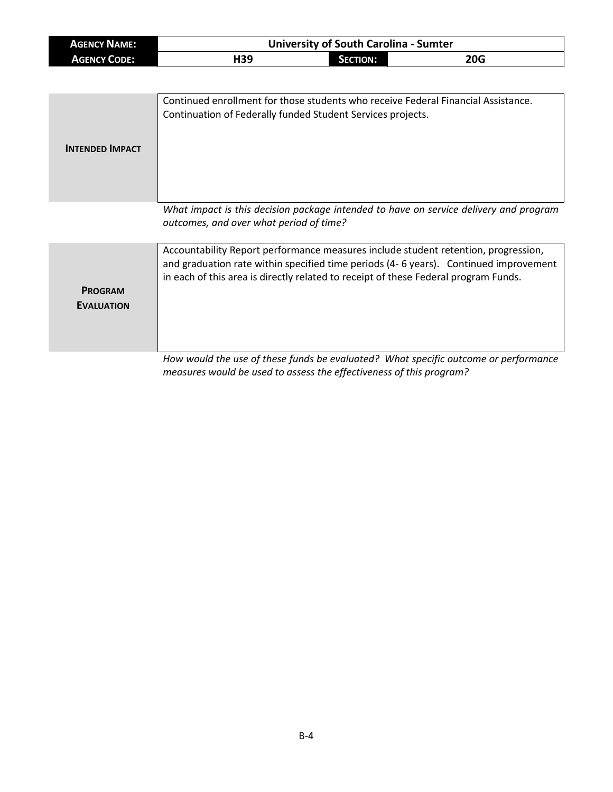| <b>AGENCY NAME:</b> | <b>University of South Carolina - Sumter</b> |                 |            |
|---------------------|----------------------------------------------|-----------------|------------|
| <b>AGENCY CODE:</b> | H39                                          | <b>SECTION:</b> | <b>20G</b> |

| <b>INTENDED IMPACT</b> | Continued enrollment for those students who receive Federal Financial Assistance.<br>Continuation of Federally funded Student Services projects. |
|------------------------|--------------------------------------------------------------------------------------------------------------------------------------------------|
|                        | What impact is this decision package intended to have on service delivery and program<br>outcomes, and over what period of time?                 |
|                        | Accountability Report performance measures include student retention progression                                                                 |

|                   | Accountability Report performance measures include student retention, progression,    |  |  |
|-------------------|---------------------------------------------------------------------------------------|--|--|
|                   | and graduation rate within specified time periods (4- 6 years). Continued improvement |  |  |
|                   | in each of this area is directly related to receipt of these Federal program Funds.   |  |  |
| <b>PROGRAM</b>    |                                                                                       |  |  |
| <b>EVALUATION</b> |                                                                                       |  |  |
|                   |                                                                                       |  |  |
|                   |                                                                                       |  |  |
|                   |                                                                                       |  |  |
|                   | How would the use of these funds he evaluated? What specific outcome or performance   |  |  |

*How would the use of these funds be evaluated? What specific outcome or performance measures would be used to assess the effectiveness of this program?*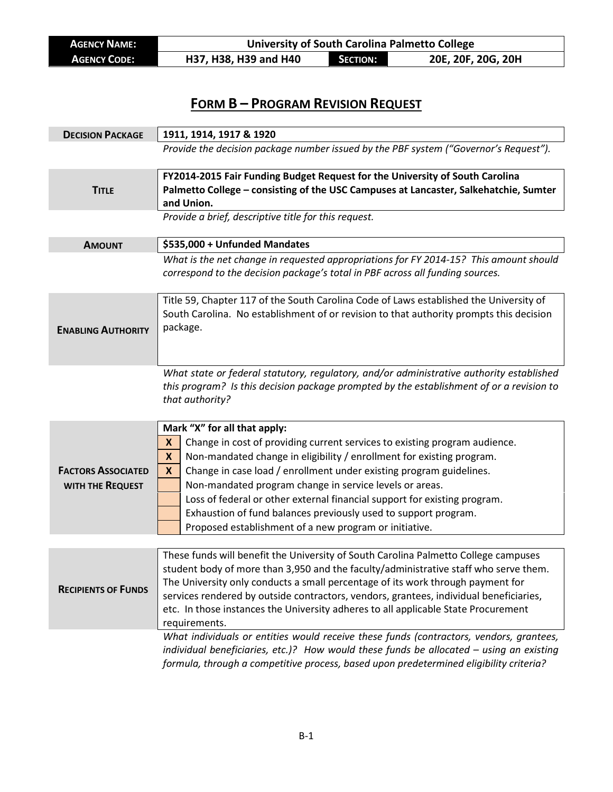**AGENCY NAME:**<br> **AGENCY CODE:** H37, H38, H39 and H40 **SECTION:** 20E, 20F, 20G, 20H **H37, H38, H39 and H40** 

## **FORM B – PROGRAM REVISION REQUEST**

| <b>DECISION PACKAGE</b>                       | 1911, 1914, 1917 & 1920                                                                                                                                                                                                                                                                                                                                                                                                                                                                                                                                       |
|-----------------------------------------------|---------------------------------------------------------------------------------------------------------------------------------------------------------------------------------------------------------------------------------------------------------------------------------------------------------------------------------------------------------------------------------------------------------------------------------------------------------------------------------------------------------------------------------------------------------------|
|                                               | Provide the decision package number issued by the PBF system ("Governor's Request").                                                                                                                                                                                                                                                                                                                                                                                                                                                                          |
| <b>TITLE</b>                                  | FY2014-2015 Fair Funding Budget Request for the University of South Carolina<br>Palmetto College - consisting of the USC Campuses at Lancaster, Salkehatchie, Sumter<br>and Union.                                                                                                                                                                                                                                                                                                                                                                            |
|                                               | Provide a brief, descriptive title for this request.                                                                                                                                                                                                                                                                                                                                                                                                                                                                                                          |
| <b>AMOUNT</b>                                 | \$535,000 + Unfunded Mandates                                                                                                                                                                                                                                                                                                                                                                                                                                                                                                                                 |
|                                               | What is the net change in requested appropriations for FY 2014-15? This amount should<br>correspond to the decision package's total in PBF across all funding sources.                                                                                                                                                                                                                                                                                                                                                                                        |
| <b>ENABLING AUTHORITY</b>                     | Title 59, Chapter 117 of the South Carolina Code of Laws established the University of<br>South Carolina. No establishment of or revision to that authority prompts this decision<br>package.                                                                                                                                                                                                                                                                                                                                                                 |
|                                               | What state or federal statutory, regulatory, and/or administrative authority established<br>this program? Is this decision package prompted by the establishment of or a revision to<br>that authority?                                                                                                                                                                                                                                                                                                                                                       |
| <b>FACTORS ASSOCIATED</b><br>WITH THE REQUEST | Mark "X" for all that apply:<br>Change in cost of providing current services to existing program audience.<br>X<br>Non-mandated change in eligibility / enrollment for existing program.<br>$\boldsymbol{x}$<br>Change in case load / enrollment under existing program guidelines.<br>X<br>Non-mandated program change in service levels or areas.<br>Loss of federal or other external financial support for existing program.<br>Exhaustion of fund balances previously used to support program.<br>Proposed establishment of a new program or initiative. |
|                                               |                                                                                                                                                                                                                                                                                                                                                                                                                                                                                                                                                               |
| <b>RECIPIENTS OF FUNDS</b>                    | These funds will benefit the University of South Carolina Palmetto College campuses<br>student body of more than 3,950 and the faculty/administrative staff who serve them.<br>The University only conducts a small percentage of its work through payment for<br>services rendered by outside contractors, vendors, grantees, individual beneficiaries,<br>etc. In those instances the University adheres to all applicable State Procurement<br>requirements.                                                                                               |
|                                               | What individuals or entities would receive these funds (contractors, vendors, grantees,<br>individual beneficiaries, etc.)? How would these funds be allocated - using an existing<br>formula, through a competitive process, based upon predetermined eligibility criteria?                                                                                                                                                                                                                                                                                  |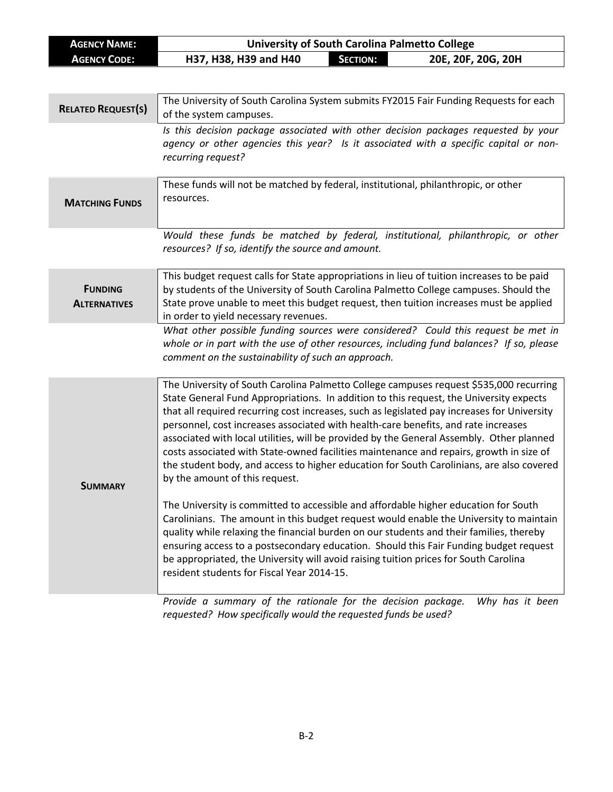| <b>AGENCY NAME:</b>                   | <b>University of South Carolina Palmetto College</b>                                                                                                                                                                                                                                                                                                                                                                                                                                                                                                                                                                                                                                       |                 |                    |
|---------------------------------------|--------------------------------------------------------------------------------------------------------------------------------------------------------------------------------------------------------------------------------------------------------------------------------------------------------------------------------------------------------------------------------------------------------------------------------------------------------------------------------------------------------------------------------------------------------------------------------------------------------------------------------------------------------------------------------------------|-----------------|--------------------|
| <b>AGENCY CODE:</b>                   | H37, H38, H39 and H40                                                                                                                                                                                                                                                                                                                                                                                                                                                                                                                                                                                                                                                                      | <b>SECTION:</b> | 20E, 20F, 20G, 20H |
|                                       |                                                                                                                                                                                                                                                                                                                                                                                                                                                                                                                                                                                                                                                                                            |                 |                    |
| <b>RELATED REQUEST(S)</b>             | The University of South Carolina System submits FY2015 Fair Funding Requests for each<br>of the system campuses.                                                                                                                                                                                                                                                                                                                                                                                                                                                                                                                                                                           |                 |                    |
|                                       | Is this decision package associated with other decision packages requested by your<br>agency or other agencies this year? Is it associated with a specific capital or non-<br>recurring request?                                                                                                                                                                                                                                                                                                                                                                                                                                                                                           |                 |                    |
| <b>MATCHING FUNDS</b>                 | These funds will not be matched by federal, institutional, philanthropic, or other<br>resources.                                                                                                                                                                                                                                                                                                                                                                                                                                                                                                                                                                                           |                 |                    |
|                                       | Would these funds be matched by federal, institutional, philanthropic, or other<br>resources? If so, identify the source and amount.                                                                                                                                                                                                                                                                                                                                                                                                                                                                                                                                                       |                 |                    |
| <b>FUNDING</b><br><b>ALTERNATIVES</b> | This budget request calls for State appropriations in lieu of tuition increases to be paid<br>by students of the University of South Carolina Palmetto College campuses. Should the<br>State prove unable to meet this budget request, then tuition increases must be applied<br>in order to yield necessary revenues.                                                                                                                                                                                                                                                                                                                                                                     |                 |                    |
|                                       | What other possible funding sources were considered? Could this request be met in<br>whole or in part with the use of other resources, including fund balances? If so, please<br>comment on the sustainability of such an approach.                                                                                                                                                                                                                                                                                                                                                                                                                                                        |                 |                    |
| SUMMARY                               | The University of South Carolina Palmetto College campuses request \$535,000 recurring<br>State General Fund Appropriations. In addition to this request, the University expects<br>that all required recurring cost increases, such as legislated pay increases for University<br>personnel, cost increases associated with health-care benefits, and rate increases<br>associated with local utilities, will be provided by the General Assembly. Other planned<br>costs associated with State-owned facilities maintenance and repairs, growth in size of<br>the student body, and access to higher education for South Carolinians, are also covered<br>by the amount of this request. |                 |                    |
|                                       | The University is committed to accessible and affordable higher education for South<br>Carolinians. The amount in this budget request would enable the University to maintain<br>quality while relaxing the financial burden on our students and their families, thereby<br>ensuring access to a postsecondary education. Should this Fair Funding budget request<br>be appropriated, the University will avoid raising tuition prices for South Carolina<br>resident students for Fiscal Year 2014-15.                                                                                                                                                                                    |                 |                    |
|                                       | Provide a summary of the rationale for the decision package.<br>requested? How specifically would the requested funds be used?                                                                                                                                                                                                                                                                                                                                                                                                                                                                                                                                                             |                 | Why has it been    |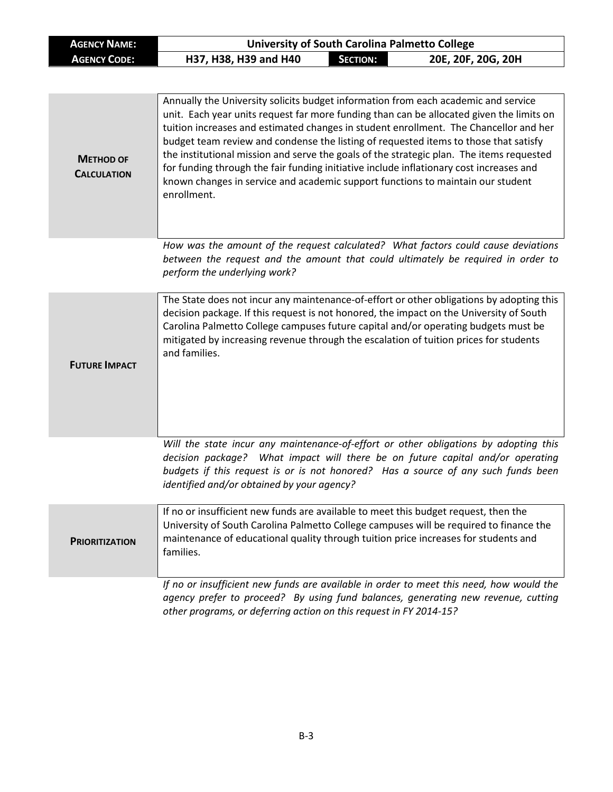| <b>AGENCY NAME:</b> |                       |                 | University of South Carolina Palmetto College |
|---------------------|-----------------------|-----------------|-----------------------------------------------|
| <b>AGENCY CODE:</b> | H37, H38, H39 and H40 | <b>SECTION:</b> | 20E, 20F, 20G, 20H                            |

| <b>METHOD OF</b><br><b>CALCULATION</b> | Annually the University solicits budget information from each academic and service<br>unit. Each year units request far more funding than can be allocated given the limits on<br>tuition increases and estimated changes in student enrollment. The Chancellor and her<br>budget team review and condense the listing of requested items to those that satisfy<br>the institutional mission and serve the goals of the strategic plan. The items requested<br>for funding through the fair funding initiative include inflationary cost increases and<br>known changes in service and academic support functions to maintain our student<br>enrollment. |
|----------------------------------------|----------------------------------------------------------------------------------------------------------------------------------------------------------------------------------------------------------------------------------------------------------------------------------------------------------------------------------------------------------------------------------------------------------------------------------------------------------------------------------------------------------------------------------------------------------------------------------------------------------------------------------------------------------|
|                                        | How was the amount of the request calculated? What factors could cause deviations<br>between the request and the amount that could ultimately be required in order to<br>perform the underlying work?                                                                                                                                                                                                                                                                                                                                                                                                                                                    |
| <b>FUTURE IMPACT</b>                   | The State does not incur any maintenance-of-effort or other obligations by adopting this<br>decision package. If this request is not honored, the impact on the University of South<br>Carolina Palmetto College campuses future capital and/or operating budgets must be<br>mitigated by increasing revenue through the escalation of tuition prices for students<br>and families.                                                                                                                                                                                                                                                                      |
|                                        | Will the state incur any maintenance-of-effort or other obligations by adopting this<br>decision package? What impact will there be on future capital and/or operating<br>budgets if this request is or is not honored? Has a source of any such funds been<br>identified and/or obtained by your agency?                                                                                                                                                                                                                                                                                                                                                |
| <b>PRIORITIZATION</b>                  | If no or insufficient new funds are available to meet this budget request, then the<br>University of South Carolina Palmetto College campuses will be required to finance the<br>maintenance of educational quality through tuition price increases for students and<br>families.                                                                                                                                                                                                                                                                                                                                                                        |
|                                        | If no or insufficient new funds are available in order to meet this need, how would the<br>agency prefer to proceed? By using fund balances, generating new revenue, cutting<br>other programs, or deferring action on this request in FY 2014-15?                                                                                                                                                                                                                                                                                                                                                                                                       |